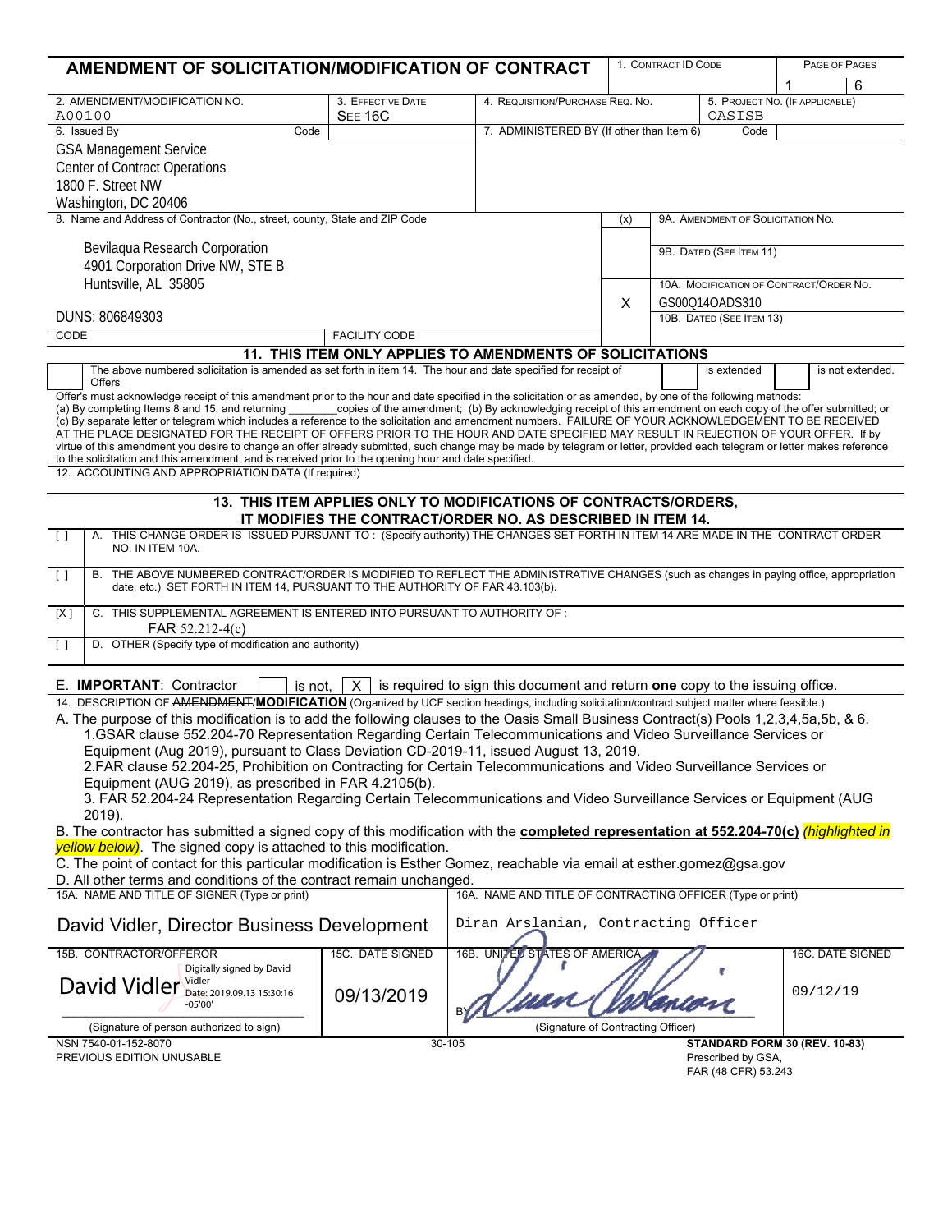| AMENDMENT OF SOLICITATION/MODIFICATION OF CONTRACT                                                                                                                                                                                                                                 |                      |                                                             |                                                   | 1. CONTRACT ID CODE                     |                                |          | PAGE OF PAGES    |  |
|------------------------------------------------------------------------------------------------------------------------------------------------------------------------------------------------------------------------------------------------------------------------------------|----------------------|-------------------------------------------------------------|---------------------------------------------------|-----------------------------------------|--------------------------------|----------|------------------|--|
|                                                                                                                                                                                                                                                                                    |                      |                                                             |                                                   |                                         |                                | 1        | 6                |  |
| 2. AMENDMENT/MODIFICATION NO.                                                                                                                                                                                                                                                      | 3. EFFECTIVE DATE    |                                                             | 4. REQUISITION/PURCHASE REQ. NO.                  |                                         | 5. PROJECT NO. (IF APPLICABLE) |          |                  |  |
| A00100                                                                                                                                                                                                                                                                             | <b>SEE 16C</b>       |                                                             |                                                   |                                         |                                | OASISB   |                  |  |
| 6. Issued By<br>Code                                                                                                                                                                                                                                                               |                      |                                                             | 7. ADMINISTERED BY (If other than Item 6)<br>Code |                                         |                                |          |                  |  |
| <b>GSA Management Service</b>                                                                                                                                                                                                                                                      |                      |                                                             |                                                   |                                         |                                |          |                  |  |
| <b>Center of Contract Operations</b>                                                                                                                                                                                                                                               |                      |                                                             |                                                   |                                         |                                |          |                  |  |
| 1800 F. Street NW                                                                                                                                                                                                                                                                  |                      |                                                             |                                                   |                                         |                                |          |                  |  |
|                                                                                                                                                                                                                                                                                    |                      |                                                             |                                                   |                                         |                                |          |                  |  |
| Washington, DC 20406<br>8. Name and Address of Contractor (No., street, county, State and ZIP Code                                                                                                                                                                                 |                      |                                                             |                                                   |                                         |                                |          |                  |  |
|                                                                                                                                                                                                                                                                                    |                      |                                                             | (x)                                               | 9A. AMENDMENT OF SOLICITATION NO.       |                                |          |                  |  |
| Bevilagua Research Corporation                                                                                                                                                                                                                                                     |                      |                                                             |                                                   |                                         | 9B. DATED (SEE ITEM 11)        |          |                  |  |
| 4901 Corporation Drive NW, STE B                                                                                                                                                                                                                                                   |                      |                                                             |                                                   |                                         |                                |          |                  |  |
| Huntsville, AL 35805                                                                                                                                                                                                                                                               |                      |                                                             |                                                   |                                         |                                |          |                  |  |
|                                                                                                                                                                                                                                                                                    |                      |                                                             |                                                   | 10A. MODIFICATION OF CONTRACT/ORDER NO. |                                |          |                  |  |
| DUNS: 806849303                                                                                                                                                                                                                                                                    |                      | X                                                           | GS00Q14OADS310<br>10B. DATED (SEE ITEM 13)        |                                         |                                |          |                  |  |
| <b>CODE</b>                                                                                                                                                                                                                                                                        | <b>FACILITY CODE</b> |                                                             |                                                   |                                         |                                |          |                  |  |
|                                                                                                                                                                                                                                                                                    |                      |                                                             |                                                   |                                         |                                |          |                  |  |
|                                                                                                                                                                                                                                                                                    |                      | 11. THIS ITEM ONLY APPLIES TO AMENDMENTS OF SOLICITATIONS   |                                                   |                                         |                                |          |                  |  |
| The above numbered solicitation is amended as set forth in item 14. The hour and date specified for receipt of<br><b>Offers</b>                                                                                                                                                    |                      |                                                             |                                                   |                                         | is extended                    |          | is not extended. |  |
| Offer's must acknowledge receipt of this amendment prior to the hour and date specified in the solicitation or as amended, by one of the following methods:                                                                                                                        |                      |                                                             |                                                   |                                         |                                |          |                  |  |
| (a) By completing Items 8 and 15, and returning copies of the amendment; (b) By acknowledging receipt of this amendment on each copy of the offer submitted; or                                                                                                                    |                      |                                                             |                                                   |                                         |                                |          |                  |  |
| (c) By separate letter or telegram which includes a reference to the solicitation and amendment numbers. FAILURE OF YOUR ACKNOWLEDGEMENT TO BE RECEIVED                                                                                                                            |                      |                                                             |                                                   |                                         |                                |          |                  |  |
| AT THE PLACE DESIGNATED FOR THE RECEIPT OF OFFERS PRIOR TO THE HOUR AND DATE SPECIFIED MAY RESULT IN REJECTION OF YOUR OFFER. If by                                                                                                                                                |                      |                                                             |                                                   |                                         |                                |          |                  |  |
| virtue of this amendment you desire to change an offer already submitted, such change may be made by telegram or letter, provided each telegram or letter makes reference<br>to the solicitation and this amendment, and is received prior to the opening hour and date specified. |                      |                                                             |                                                   |                                         |                                |          |                  |  |
| 12. ACCOUNTING AND APPROPRIATION DATA (If required)                                                                                                                                                                                                                                |                      |                                                             |                                                   |                                         |                                |          |                  |  |
|                                                                                                                                                                                                                                                                                    |                      |                                                             |                                                   |                                         |                                |          |                  |  |
| 13. THIS ITEM APPLIES ONLY TO MODIFICATIONS OF CONTRACTS/ORDERS,                                                                                                                                                                                                                   |                      |                                                             |                                                   |                                         |                                |          |                  |  |
|                                                                                                                                                                                                                                                                                    |                      | IT MODIFIES THE CONTRACT/ORDER NO. AS DESCRIBED IN ITEM 14. |                                                   |                                         |                                |          |                  |  |
| A. THIS CHANGE ORDER IS ISSUED PURSUANT TO: (Specify authority) THE CHANGES SET FORTH IN ITEM 14 ARE MADE IN THE CONTRACT ORDER<br>$\lceil$ $\rceil$                                                                                                                               |                      |                                                             |                                                   |                                         |                                |          |                  |  |
| NO. IN ITEM 10A.                                                                                                                                                                                                                                                                   |                      |                                                             |                                                   |                                         |                                |          |                  |  |
| B. THE ABOVE NUMBERED CONTRACT/ORDER IS MODIFIED TO REFLECT THE ADMINISTRATIVE CHANGES (such as changes in paying office, appropriation<br>$\lceil$                                                                                                                                |                      |                                                             |                                                   |                                         |                                |          |                  |  |
| date, etc.) SET FORTH IN ITEM 14, PURSUANT TO THE AUTHORITY OF FAR 43.103(b).                                                                                                                                                                                                      |                      |                                                             |                                                   |                                         |                                |          |                  |  |
| C. THIS SUPPLEMENTAL AGREEMENT IS ENTERED INTO PURSUANT TO AUTHORITY OF :<br>[X]                                                                                                                                                                                                   |                      |                                                             |                                                   |                                         |                                |          |                  |  |
| FAR 52.212-4(c)                                                                                                                                                                                                                                                                    |                      |                                                             |                                                   |                                         |                                |          |                  |  |
| D. OTHER (Specify type of modification and authority)<br>$\lceil$ $\rceil$                                                                                                                                                                                                         |                      |                                                             |                                                   |                                         |                                |          |                  |  |
|                                                                                                                                                                                                                                                                                    |                      |                                                             |                                                   |                                         |                                |          |                  |  |
|                                                                                                                                                                                                                                                                                    |                      |                                                             |                                                   |                                         |                                |          |                  |  |
| is required to sign this document and return one copy to the issuing office.<br>E. <b>IMPORTANT:</b> Contractor<br>is not.<br>$\mathsf{X}$                                                                                                                                         |                      |                                                             |                                                   |                                         |                                |          |                  |  |
| 14. DESCRIPTION OF AMENDMENT/MODIFICATION (Organized by UCF section headings, including solicitation/contract subject matter where feasible.)                                                                                                                                      |                      |                                                             |                                                   |                                         |                                |          |                  |  |
| A. The purpose of this modification is to add the following clauses to the Oasis Small Business Contract(s) Pools 1,2,3,4,5a,5b, & 6.                                                                                                                                              |                      |                                                             |                                                   |                                         |                                |          |                  |  |
| 1.GSAR clause 552.204-70 Representation Regarding Certain Telecommunications and Video Surveillance Services or                                                                                                                                                                    |                      |                                                             |                                                   |                                         |                                |          |                  |  |
| Equipment (Aug 2019), pursuant to Class Deviation CD-2019-11, issued August 13, 2019.                                                                                                                                                                                              |                      |                                                             |                                                   |                                         |                                |          |                  |  |
| 2.FAR clause 52.204-25, Prohibition on Contracting for Certain Telecommunications and Video Surveillance Services or                                                                                                                                                               |                      |                                                             |                                                   |                                         |                                |          |                  |  |
| Equipment (AUG 2019), as prescribed in FAR 4.2105(b).                                                                                                                                                                                                                              |                      |                                                             |                                                   |                                         |                                |          |                  |  |
| 3. FAR 52.204-24 Representation Regarding Certain Telecommunications and Video Surveillance Services or Equipment (AUG                                                                                                                                                             |                      |                                                             |                                                   |                                         |                                |          |                  |  |
| 2019).<br>B. The contractor has submitted a signed copy of this modification with the <b>completed representation at 552.204-70(c)</b> (highlighted in                                                                                                                             |                      |                                                             |                                                   |                                         |                                |          |                  |  |
| yellow below). The signed copy is attached to this modification.                                                                                                                                                                                                                   |                      |                                                             |                                                   |                                         |                                |          |                  |  |
| C. The point of contact for this particular modification is Esther Gomez, reachable via email at esther gomez@gsa.gov                                                                                                                                                              |                      |                                                             |                                                   |                                         |                                |          |                  |  |
| D. All other terms and conditions of the contract remain unchanged.                                                                                                                                                                                                                |                      |                                                             |                                                   |                                         |                                |          |                  |  |
| 15A. NAME AND TITLE OF SIGNER (Type or print)                                                                                                                                                                                                                                      |                      | 16A. NAME AND TITLE OF CONTRACTING OFFICER (Type or print)  |                                                   |                                         |                                |          |                  |  |
|                                                                                                                                                                                                                                                                                    |                      |                                                             |                                                   |                                         |                                |          |                  |  |
| Diran Arslanian, Contracting Officer<br>David Vidler, Director Business Development                                                                                                                                                                                                |                      |                                                             |                                                   |                                         |                                |          |                  |  |
|                                                                                                                                                                                                                                                                                    |                      |                                                             |                                                   |                                         |                                |          |                  |  |
| 15B. CONTRACTOR/OFFEROR                                                                                                                                                                                                                                                            | 15C. DATE SIGNED     | 16B. UNITED STATES OF AMERICA                               |                                                   |                                         |                                |          | 16C. DATE SIGNED |  |
| Digitally signed by David                                                                                                                                                                                                                                                          |                      |                                                             |                                                   |                                         |                                |          |                  |  |
| David Vidler Vidler 2019.09.13 15:30:16                                                                                                                                                                                                                                            | 09/13/2019           |                                                             |                                                   |                                         |                                | 09/12/19 |                  |  |
| $-05'00'$                                                                                                                                                                                                                                                                          |                      |                                                             |                                                   |                                         |                                |          |                  |  |
| (Signature of person authorized to sign)                                                                                                                                                                                                                                           |                      | (Signature of Contracting Officer)                          |                                                   |                                         |                                |          |                  |  |
| NSN 7540-01-152-8070                                                                                                                                                                                                                                                               | 30-105               |                                                             |                                                   |                                         | STANDARD FORM 30 (REV. 10-83)  |          |                  |  |
| PREVIOUS EDITION UNUSABLE                                                                                                                                                                                                                                                          |                      |                                                             |                                                   |                                         | Prescribed by GSA,             |          |                  |  |
|                                                                                                                                                                                                                                                                                    |                      |                                                             |                                                   |                                         | FAR (48 CFR) 53.243            |          |                  |  |
|                                                                                                                                                                                                                                                                                    |                      |                                                             |                                                   |                                         |                                |          |                  |  |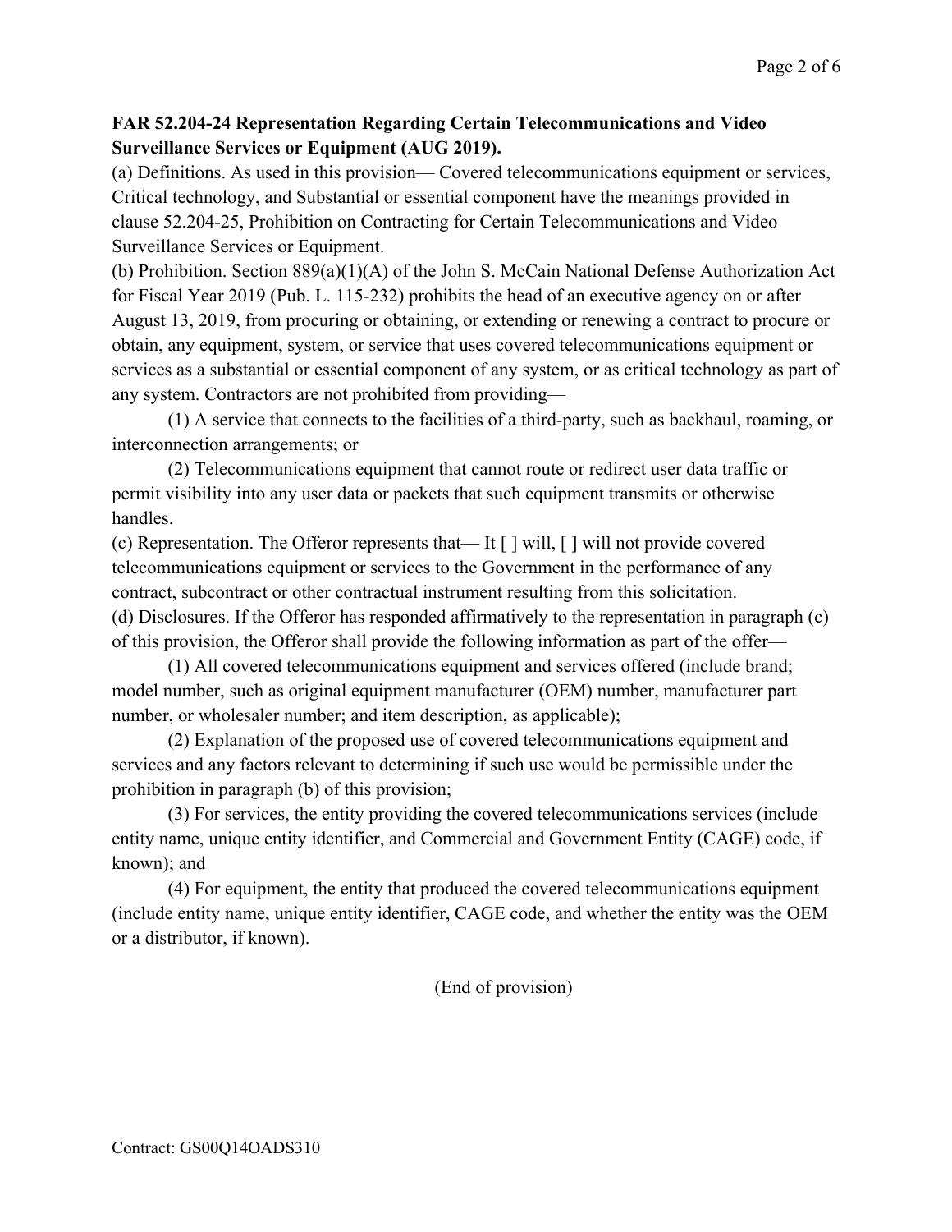## **FAR 52.204-24 Representation Regarding Certain Telecommunications and Video Surveillance Services or Equipment (AUG 2019).**

(a) Definitions. As used in this provision— Covered telecommunications equipment or services, Critical technology, and Substantial or essential component have the meanings provided in clause 52.204-25, Prohibition on Contracting for Certain Telecommunications and Video Surveillance Services or Equipment.

(b) Prohibition. Section 889(a)(1)(A) of the John S. McCain National Defense Authorization Act for Fiscal Year 2019 (Pub. L. 115-232) prohibits the head of an executive agency on or after August 13, 2019, from procuring or obtaining, or extending or renewing a contract to procure or obtain, any equipment, system, or service that uses covered telecommunications equipment or services as a substantial or essential component of any system, or as critical technology as part of any system. Contractors are not prohibited from providing—

(1) A service that connects to the facilities of a third-party, such as backhaul, roaming, or interconnection arrangements; or

(2) Telecommunications equipment that cannot route or redirect user data traffic or permit visibility into any user data or packets that such equipment transmits or otherwise handles.

(c) Representation. The Offeror represents that— It [ ] will, [ ] will not provide covered telecommunications equipment or services to the Government in the performance of any contract, subcontract or other contractual instrument resulting from this solicitation. (d) Disclosures. If the Offeror has responded affirmatively to the representation in paragraph (c) of this provision, the Offeror shall provide the following information as part of the offer—

(1) All covered telecommunications equipment and services offered (include brand; model number, such as original equipment manufacturer (OEM) number, manufacturer part number, or wholesaler number; and item description, as applicable);

(2) Explanation of the proposed use of covered telecommunications equipment and services and any factors relevant to determining if such use would be permissible under the prohibition in paragraph (b) of this provision;

(3) For services, the entity providing the covered telecommunications services (include entity name, unique entity identifier, and Commercial and Government Entity (CAGE) code, if known); and

(4) For equipment, the entity that produced the covered telecommunications equipment (include entity name, unique entity identifier, CAGE code, and whether the entity was the OEM or a distributor, if known).

(End of provision)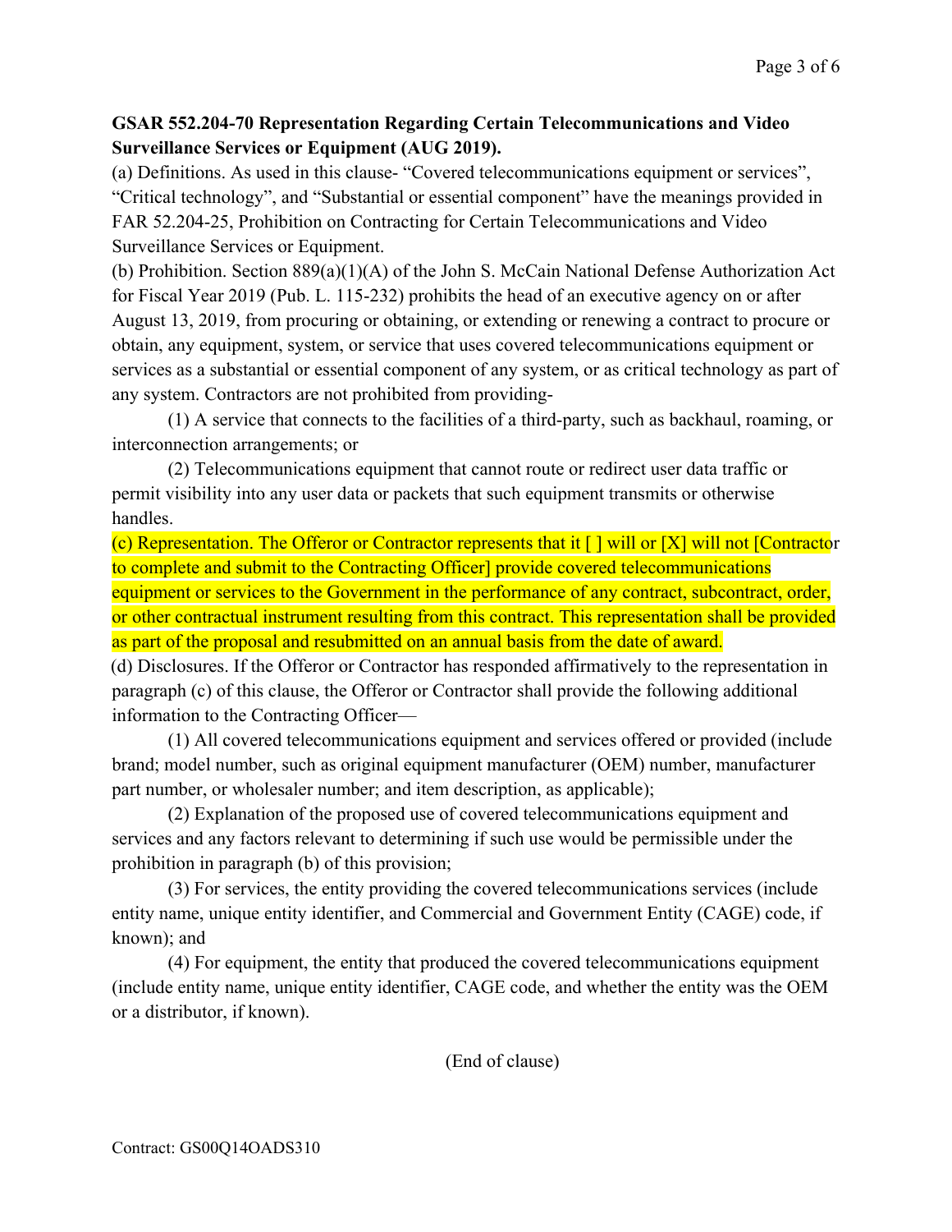## **GSAR 552.204-70 Representation Regarding Certain Telecommunications and Video Surveillance Services or Equipment (AUG 2019).**

(a) Definitions. As used in this clause- "Covered telecommunications equipment or services", "Critical technology", and "Substantial or essential component" have the meanings provided in FAR 52.204-25, Prohibition on Contracting for Certain Telecommunications and Video Surveillance Services or Equipment.

(b) Prohibition. Section 889(a)(1)(A) of the John S. McCain National Defense Authorization Act for Fiscal Year 2019 (Pub. L. 115-232) prohibits the head of an executive agency on or after August 13, 2019, from procuring or obtaining, or extending or renewing a contract to procure or obtain, any equipment, system, or service that uses covered telecommunications equipment or services as a substantial or essential component of any system, or as critical technology as part of any system. Contractors are not prohibited from providing-

(1) A service that connects to the facilities of a third-party, such as backhaul, roaming, or interconnection arrangements; or

(2) Telecommunications equipment that cannot route or redirect user data traffic or permit visibility into any user data or packets that such equipment transmits or otherwise handles.

(c) Representation. The Offeror or Contractor represents that it  $\lceil \cdot \rceil$  will or  $\lceil X \rceil$  will not  $\lceil$ Contractor to complete and submit to the Contracting Officer] provide covered telecommunications equipment or services to the Government in the performance of any contract, subcontract, order, or other contractual instrument resulting from this contract. This representation shall be provided as part of the proposal and resubmitted on an annual basis from the date of award.

(d) Disclosures. If the Offeror or Contractor has responded affirmatively to the representation in paragraph (c) of this clause, the Offeror or Contractor shall provide the following additional information to the Contracting Officer—

(1) All covered telecommunications equipment and services offered or provided (include brand; model number, such as original equipment manufacturer (OEM) number, manufacturer part number, or wholesaler number; and item description, as applicable);

(2) Explanation of the proposed use of covered telecommunications equipment and services and any factors relevant to determining if such use would be permissible under the prohibition in paragraph (b) of this provision;

(3) For services, the entity providing the covered telecommunications services (include entity name, unique entity identifier, and Commercial and Government Entity (CAGE) code, if known); and

(4) For equipment, the entity that produced the covered telecommunications equipment (include entity name, unique entity identifier, CAGE code, and whether the entity was the OEM or a distributor, if known).

(End of clause)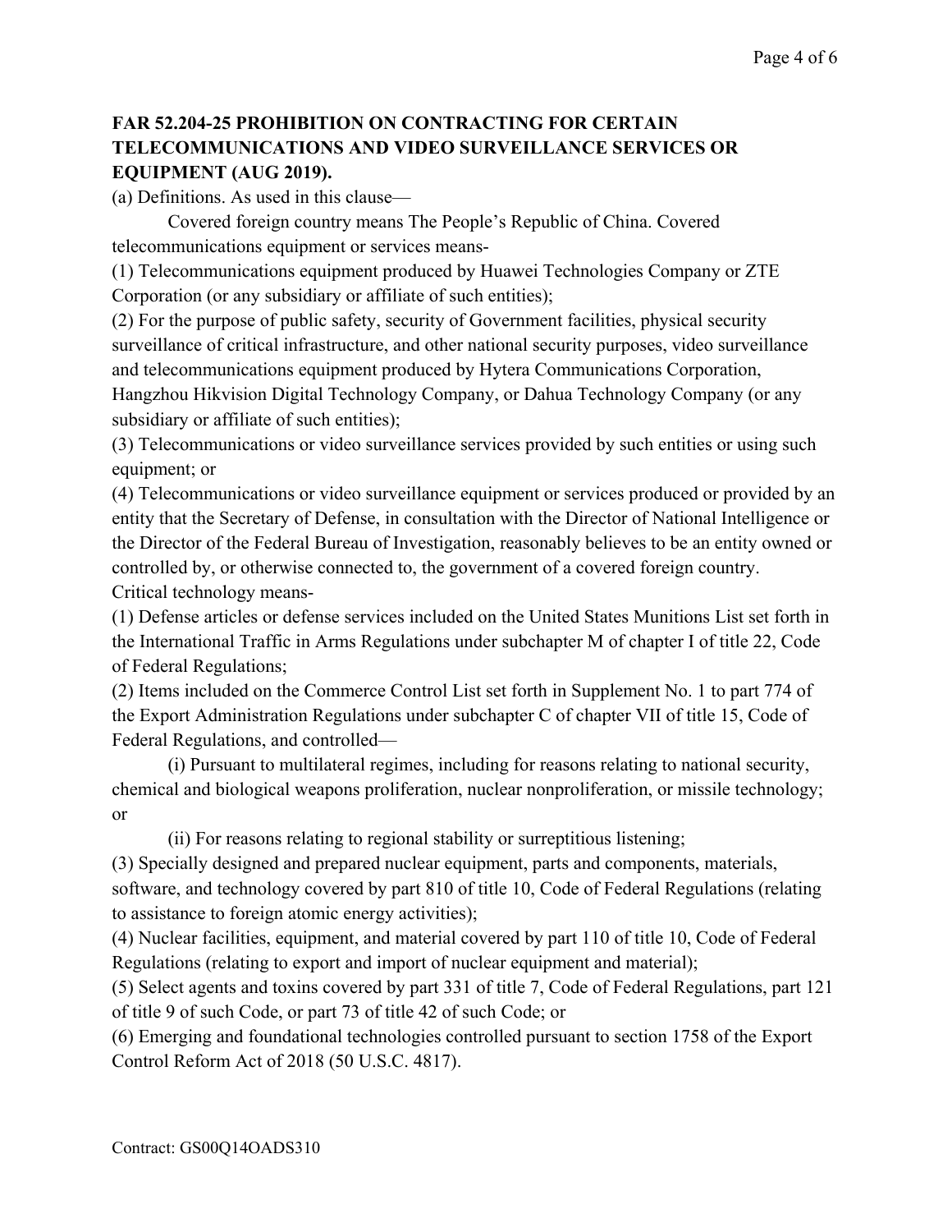## **FAR 52.204-25 PROHIBITION ON CONTRACTING FOR CERTAIN TELECOMMUNICATIONS AND VIDEO SURVEILLANCE SERVICES OR EQUIPMENT (AUG 2019).**

(a) Definitions. As used in this clause—

Covered foreign country means The People's Republic of China. Covered telecommunications equipment or services means-

(1) Telecommunications equipment produced by Huawei Technologies Company or ZTE Corporation (or any subsidiary or affiliate of such entities);

(2) For the purpose of public safety, security of Government facilities, physical security surveillance of critical infrastructure, and other national security purposes, video surveillance and telecommunications equipment produced by Hytera Communications Corporation, Hangzhou Hikvision Digital Technology Company, or Dahua Technology Company (or any subsidiary or affiliate of such entities);

(3) Telecommunications or video surveillance services provided by such entities or using such equipment; or

(4) Telecommunications or video surveillance equipment or services produced or provided by an entity that the Secretary of Defense, in consultation with the Director of National Intelligence or the Director of the Federal Bureau of Investigation, reasonably believes to be an entity owned or controlled by, or otherwise connected to, the government of a covered foreign country. Critical technology means-

(1) Defense articles or defense services included on the United States Munitions List set forth in the International Traffic in Arms Regulations under subchapter M of chapter I of title 22, Code of Federal Regulations;

(2) Items included on the Commerce Control List set forth in Supplement No. 1 to part 774 of the Export Administration Regulations under subchapter C of chapter VII of title 15, Code of Federal Regulations, and controlled—

(i) Pursuant to multilateral regimes, including for reasons relating to national security, chemical and biological weapons proliferation, nuclear nonproliferation, or missile technology; or

(ii) For reasons relating to regional stability or surreptitious listening;

(3) Specially designed and prepared nuclear equipment, parts and components, materials, software, and technology covered by part 810 of title 10, Code of Federal Regulations (relating to assistance to foreign atomic energy activities);

(4) Nuclear facilities, equipment, and material covered by part 110 of title 10, Code of Federal Regulations (relating to export and import of nuclear equipment and material);

(5) Select agents and toxins covered by part 331 of title 7, Code of Federal Regulations, part 121 of title 9 of such Code, or part 73 of title 42 of such Code; or

(6) Emerging and foundational technologies controlled pursuant to section 1758 of the Export Control Reform Act of 2018 (50 U.S.C. 4817).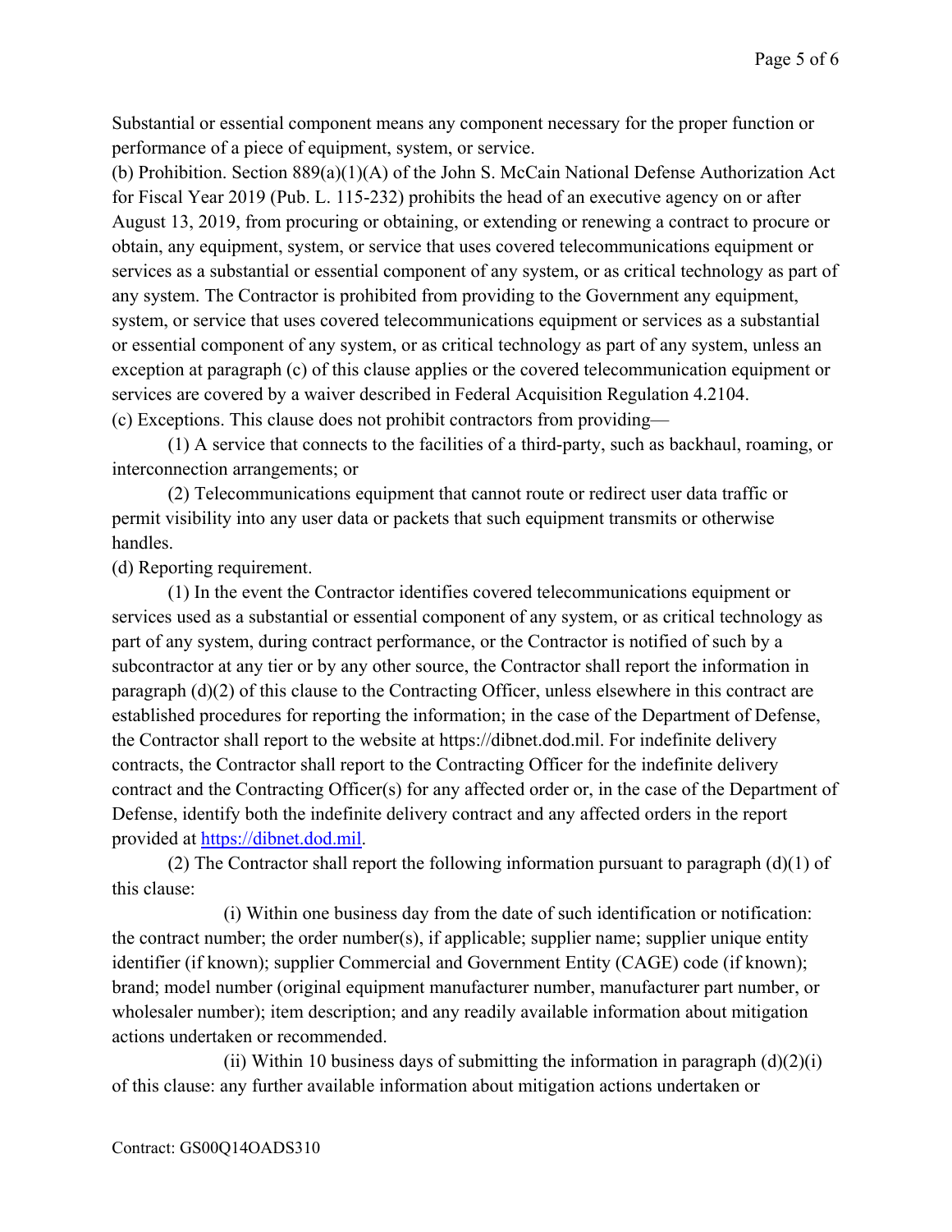Substantial or essential component means any component necessary for the proper function or performance of a piece of equipment, system, or service.

(b) Prohibition. Section 889(a)(1)(A) of the John S. McCain National Defense Authorization Act for Fiscal Year 2019 (Pub. L. 115-232) prohibits the head of an executive agency on or after August 13, 2019, from procuring or obtaining, or extending or renewing a contract to procure or obtain, any equipment, system, or service that uses covered telecommunications equipment or services as a substantial or essential component of any system, or as critical technology as part of any system. The Contractor is prohibited from providing to the Government any equipment, system, or service that uses covered telecommunications equipment or services as a substantial or essential component of any system, or as critical technology as part of any system, unless an exception at paragraph (c) of this clause applies or the covered telecommunication equipment or services are covered by a waiver described in Federal Acquisition Regulation 4.2104. (c) Exceptions. This clause does not prohibit contractors from providing—

(1) A service that connects to the facilities of a third-party, such as backhaul, roaming, or interconnection arrangements; or

(2) Telecommunications equipment that cannot route or redirect user data traffic or permit visibility into any user data or packets that such equipment transmits or otherwise handles.

(d) Reporting requirement.

(1) In the event the Contractor identifies covered telecommunications equipment or services used as a substantial or essential component of any system, or as critical technology as part of any system, during contract performance, or the Contractor is notified of such by a subcontractor at any tier or by any other source, the Contractor shall report the information in paragraph (d)(2) of this clause to the Contracting Officer, unless elsewhere in this contract are established procedures for reporting the information; in the case of the Department of Defense, the Contractor shall report to the website at https://dibnet.dod.mil. For indefinite delivery contracts, the Contractor shall report to the Contracting Officer for the indefinite delivery contract and the Contracting Officer(s) for any affected order or, in the case of the Department of Defense, identify both the indefinite delivery contract and any affected orders in the report provided at [https://dibnet.dod.mil.](https://dibnet.dod.mil/)

(2) The Contractor shall report the following information pursuant to paragraph  $(d)(1)$  of this clause:

(i) Within one business day from the date of such identification or notification: the contract number; the order number(s), if applicable; supplier name; supplier unique entity identifier (if known); supplier Commercial and Government Entity (CAGE) code (if known); brand; model number (original equipment manufacturer number, manufacturer part number, or wholesaler number); item description; and any readily available information about mitigation actions undertaken or recommended.

(ii) Within 10 business days of submitting the information in paragraph  $(d)(2)(i)$ of this clause: any further available information about mitigation actions undertaken or